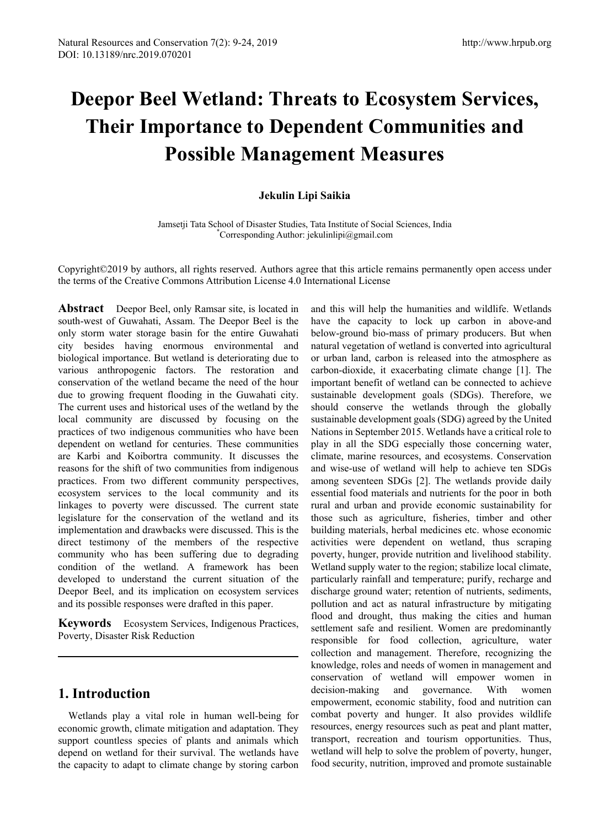# **Deepor Beel Wetland: Threats to Ecosystem Services, Their Importance to Dependent Communities and Possible Management Measures**

# **Jekulin Lipi Saikia**

Jamsetji Tata School of Disaster Studies, Tata Institute of Social Sciences, India \* Corresponding Author: jekulinlipi@gmail.com

Copyright©2019 by authors, all rights reserved. Authors agree that this article remains permanently open access under the terms of the Creative Commons Attribution License 4.0 International License

**Abstract** Deepor Beel, only Ramsar site, is located in south-west of Guwahati, Assam. The Deepor Beel is the only storm water storage basin for the entire Guwahati city besides having enormous environmental and biological importance. But wetland is deteriorating due to various anthropogenic factors. The restoration and conservation of the wetland became the need of the hour due to growing frequent flooding in the Guwahati city. The current uses and historical uses of the wetland by the local community are discussed by focusing on the practices of two indigenous communities who have been dependent on wetland for centuries. These communities are Karbi and Koibortra community. It discusses the reasons for the shift of two communities from indigenous practices. From two different community perspectives, ecosystem services to the local community and its linkages to poverty were discussed. The current state legislature for the conservation of the wetland and its implementation and drawbacks were discussed. This is the direct testimony of the members of the respective community who has been suffering due to degrading condition of the wetland. A framework has been developed to understand the current situation of the Deepor Beel, and its implication on ecosystem services and its possible responses were drafted in this paper.

**Keywords** Ecosystem Services, Indigenous Practices, Poverty, Disaster Risk Reduction

# **1. Introduction**

Wetlands play a vital role in human well-being for economic growth, climate mitigation and adaptation. They support countless species of plants and animals which depend on wetland for their survival. The wetlands have the capacity to adapt to climate change by storing carbon

and this will help the humanities and wildlife. Wetlands have the capacity to lock up carbon in above-and below-ground bio-mass of primary producers. But when natural vegetation of wetland is converted into agricultural or urban land, carbon is released into the atmosphere as carbon-dioxide, it exacerbating climate change [1]. The important benefit of wetland can be connected to achieve sustainable development goals (SDGs). Therefore, we should conserve the wetlands through the globally sustainable development goals (SDG) agreed by the United Nations in September 2015. Wetlands have a critical role to play in all the SDG especially those concerning water, climate, marine resources, and ecosystems. Conservation and wise-use of wetland will help to achieve ten SDGs among seventeen SDGs [2]. The wetlands provide daily essential food materials and nutrients for the poor in both rural and urban and provide economic sustainability for those such as agriculture, fisheries, timber and other building materials, herbal medicines etc. whose economic activities were dependent on wetland, thus scraping poverty, hunger, provide nutrition and livelihood stability. Wetland supply water to the region; stabilize local climate, particularly rainfall and temperature; purify, recharge and discharge ground water; retention of nutrients, sediments, pollution and act as natural infrastructure by mitigating flood and drought, thus making the cities and human settlement safe and resilient. Women are predominantly responsible for food collection, agriculture, water collection and management. Therefore, recognizing the knowledge, roles and needs of women in management and conservation of wetland will empower women in decision-making and governance. With women empowerment, economic stability, food and nutrition can combat poverty and hunger. It also provides wildlife resources, energy resources such as peat and plant matter, transport, recreation and tourism opportunities. Thus, wetland will help to solve the problem of poverty, hunger, food security, nutrition, improved and promote sustainable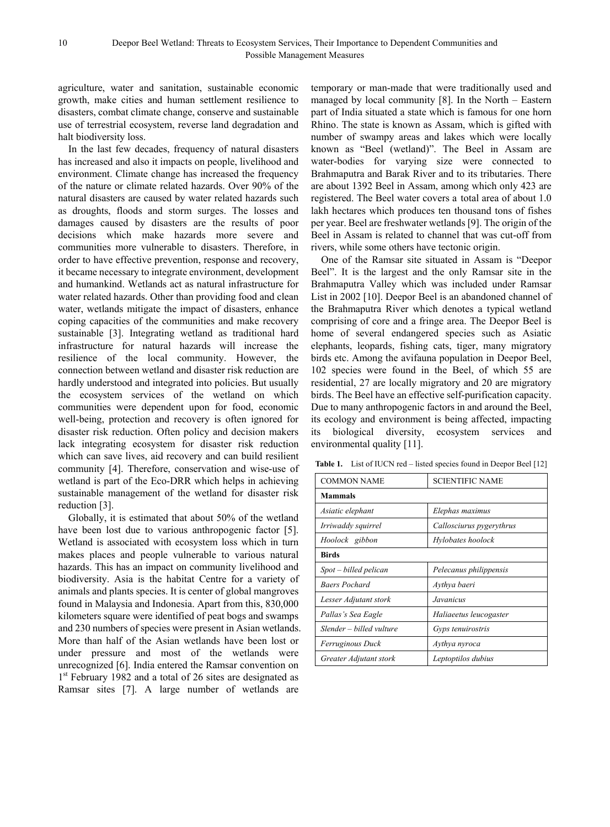agriculture, water and sanitation, sustainable economic growth, make cities and human settlement resilience to disasters, combat climate change, conserve and sustainable use of terrestrial ecosystem, reverse land degradation and halt biodiversity loss.

In the last few decades, frequency of natural disasters has increased and also it impacts on people, livelihood and environment. Climate change has increased the frequency of the nature or climate related hazards. Over 90% of the natural disasters are caused by water related hazards such as droughts, floods and storm surges. The losses and damages caused by disasters are the results of poor decisions which make hazards more severe and communities more vulnerable to disasters. Therefore, in order to have effective prevention, response and recovery, it became necessary to integrate environment, development and humankind. Wetlands act as natural infrastructure for water related hazards. Other than providing food and clean water, wetlands mitigate the impact of disasters, enhance coping capacities of the communities and make recovery sustainable [3]. Integrating wetland as traditional hard infrastructure for natural hazards will increase the resilience of the local community. However, the connection between wetland and disaster risk reduction are hardly understood and integrated into policies. But usually the ecosystem services of the wetland on which communities were dependent upon for food, economic well-being, protection and recovery is often ignored for disaster risk reduction. Often policy and decision makers lack integrating ecosystem for disaster risk reduction which can save lives, aid recovery and can build resilient community [4]. Therefore, conservation and wise-use of wetland is part of the Eco-DRR which helps in achieving sustainable management of the wetland for disaster risk reduction [3].

Globally, it is estimated that about 50% of the wetland have been lost due to various anthropogenic factor [5]. Wetland is associated with ecosystem loss which in turn makes places and people vulnerable to various natural hazards. This has an impact on community livelihood and biodiversity. Asia is the habitat Centre for a variety of animals and plants species. It is center of global mangroves found in Malaysia and Indonesia. Apart from this, 830,000 kilometers square were identified of peat bogs and swamps and 230 numbers of species were present in Asian wetlands. More than half of the Asian wetlands have been lost or under pressure and most of the wetlands were unrecognized [6]. India entered the Ramsar convention on 1<sup>st</sup> February 1982 and a total of 26 sites are designated as Ramsar sites [7]. A large number of wetlands are

temporary or man-made that were traditionally used and managed by local community [8]. In the North – Eastern part of India situated a state which is famous for one horn Rhino. The state is known as Assam, which is gifted with number of swampy areas and lakes which were locally known as "Beel (wetland)". The Beel in Assam are water-bodies for varying size were connected to Brahmaputra and Barak River and to its tributaries. There are about 1392 Beel in Assam, among which only 423 are registered. The Beel water covers a total area of about 1.0 lakh hectares which produces ten thousand tons of fishes per year. Beel are freshwater wetlands [9]. The origin of the Beel in Assam is related to channel that was cut-off from rivers, while some others have tectonic origin.

One of the Ramsar site situated in Assam is "Deepor Beel". It is the largest and the only Ramsar site in the Brahmaputra Valley which was included under Ramsar List in 2002 [10]. Deepor Beel is an abandoned channel of the Brahmaputra River which denotes a typical wetland comprising of core and a fringe area. The Deepor Beel is home of several endangered species such as Asiatic elephants, leopards, fishing cats, tiger, many migratory birds etc. Among the avifauna population in Deepor Beel, 102 species were found in the Beel, of which 55 are residential, 27 are locally migratory and 20 are migratory birds. The Beel have an effective self-purification capacity. Due to many anthropogenic factors in and around the Beel, its ecology and environment is being affected, impacting its biological diversity, ecosystem services and environmental quality [11].

|  |  | <b>Table 1.</b> List of IUCN red – listed species found in Deepor Beel [12] |  |  |
|--|--|-----------------------------------------------------------------------------|--|--|
|--|--|-----------------------------------------------------------------------------|--|--|

| <b>COMMON NAME</b>       | <b>SCIENTIFIC NAME</b>   |  |
|--------------------------|--------------------------|--|
| <b>Mammals</b>           |                          |  |
| Asiatic elephant         | Elephas maximus          |  |
| Irriwaddy squirrel       | Callosciurus pygerythrus |  |
| Hoolock gibbon           | Hylobates hoolock        |  |
| <b>Birds</b>             |                          |  |
| Spot – billed pelican    | Pelecanus philippensis   |  |
| <b>Baers Pochard</b>     | Aythya baeri             |  |
| Lesser Adjutant stork    | Javanicus                |  |
| Pallas's Sea Eagle       | Haliaeetus leucogaster   |  |
| Slender – billed vulture | Gyps tenuirostris        |  |
| <i>Ferruginous Duck</i>  | Aythya nyroca            |  |
| Greater Adjutant stork   | Leptoptilos dubius       |  |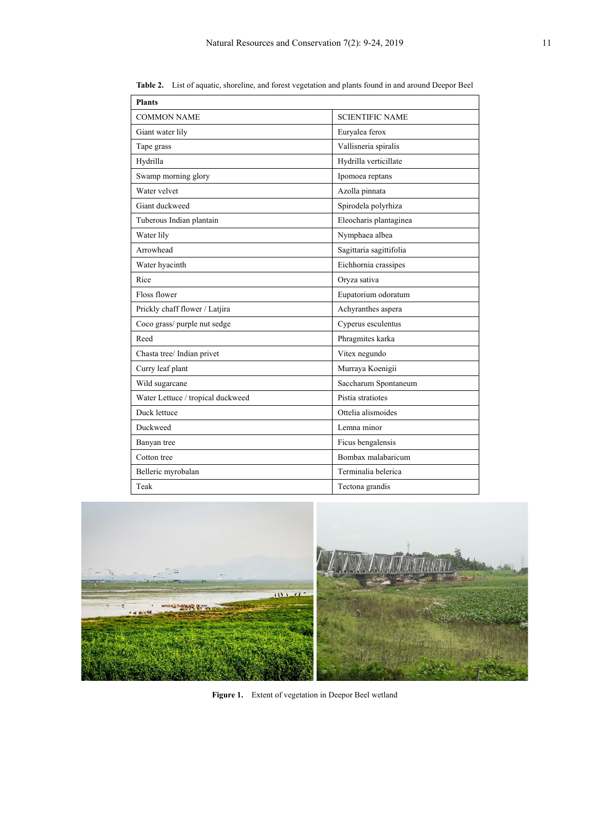| <b>Plants</b>                     |                         |
|-----------------------------------|-------------------------|
| COMMON NAME                       | <b>SCIENTIFIC NAME</b>  |
| Giant water lily                  | Euryalea ferox          |
| Tape grass                        | Vallisneria spiralis    |
| Hydrilla                          | Hydrilla verticillate   |
| Swamp morning glory               | Ipomoea reptans         |
| Water velvet                      | Azolla pinnata          |
| Giant duckweed                    | Spirodela polyrhiza     |
| Tuberous Indian plantain          | Eleocharis plantaginea  |
| Water lily                        | Nymphaea albea          |
| Arrowhead                         | Sagittaria sagittifolia |
| Water hyacinth                    | Eichhornia crassipes    |
| Rice                              | Oryza sativa            |
| Floss flower                      | Eupatorium odoratum     |
| Prickly chaff flower / Latjira    | Achyranthes aspera      |
| Coco grass/ purple nut sedge      | Cyperus esculentus      |
| Reed                              | Phragmites karka        |
| Chasta tree/ Indian privet        | Vitex negundo           |
| Curry leaf plant                  | Murraya Koenigii        |
| Wild sugarcane                    | Saccharum Spontaneum    |
| Water Lettuce / tropical duckweed | Pistia stratiotes       |
| Duck lettuce                      | Ottelia alismoides      |
| Duckweed                          | Lemna minor             |
| Banyan tree                       | Ficus bengalensis       |
| Cotton tree                       | Bombax malabaricum      |
| Belleric myrobalan                | Terminalia belerica     |
| Teak                              | Tectona grandis         |

**Table 2.** List of aquatic, shoreline, and forest vegetation and plants found in and around Deepor Beel



Figure 1. Extent of vegetation in Deepor Beel wetland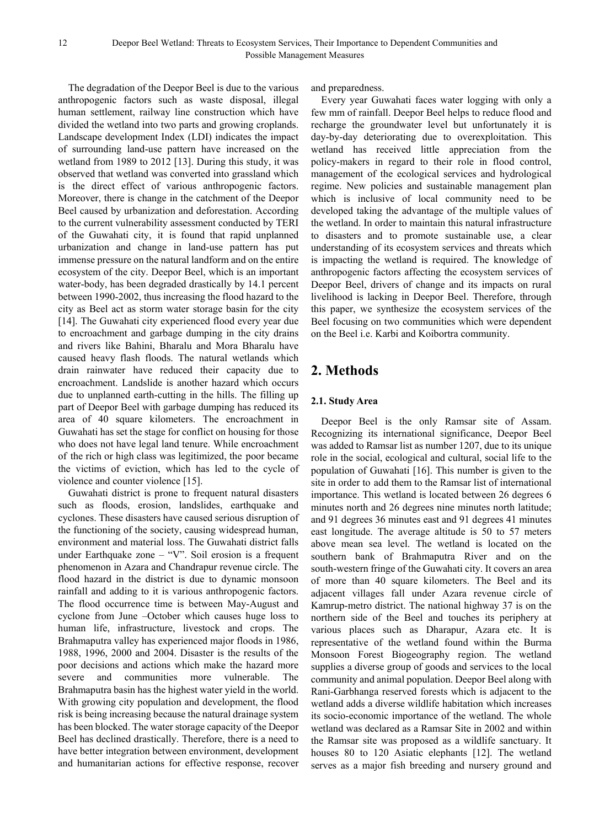The degradation of the Deepor Beel is due to the various anthropogenic factors such as waste disposal, illegal human settlement, railway line construction which have divided the wetland into two parts and growing croplands. Landscape development Index (LDI) indicates the impact of surrounding land-use pattern have increased on the wetland from 1989 to 2012 [13]. During this study, it was observed that wetland was converted into grassland which is the direct effect of various anthropogenic factors. Moreover, there is change in the catchment of the Deepor Beel caused by urbanization and deforestation. According to the current vulnerability assessment conducted by TERI of the Guwahati city, it is found that rapid unplanned urbanization and change in land-use pattern has put immense pressure on the natural landform and on the entire ecosystem of the city. Deepor Beel, which is an important water-body, has been degraded drastically by 14.1 percent between 1990-2002, thus increasing the flood hazard to the city as Beel act as storm water storage basin for the city [14]. The Guwahati city experienced flood every year due to encroachment and garbage dumping in the city drains and rivers like Bahini, Bharalu and Mora Bharalu have caused heavy flash floods. The natural wetlands which drain rainwater have reduced their capacity due to encroachment. Landslide is another hazard which occurs due to unplanned earth-cutting in the hills. The filling up part of Deepor Beel with garbage dumping has reduced its area of 40 square kilometers. The encroachment in Guwahati has set the stage for conflict on housing for those who does not have legal land tenure. While encroachment of the rich or high class was legitimized, the poor became the victims of eviction, which has led to the cycle of violence and counter violence [15].

Guwahati district is prone to frequent natural disasters such as floods, erosion, landslides, earthquake and cyclones. These disasters have caused serious disruption of the functioning of the society, causing widespread human, environment and material loss. The Guwahati district falls under Earthquake zone – "V". Soil erosion is a frequent phenomenon in Azara and Chandrapur revenue circle. The flood hazard in the district is due to dynamic monsoon rainfall and adding to it is various anthropogenic factors. The flood occurrence time is between May-August and cyclone from June –October which causes huge loss to human life, infrastructure, livestock and crops. The Brahmaputra valley has experienced major floods in 1986, 1988, 1996, 2000 and 2004. Disaster is the results of the poor decisions and actions which make the hazard more severe and communities more vulnerable. The Brahmaputra basin has the highest water yield in the world. With growing city population and development, the flood risk is being increasing because the natural drainage system has been blocked. The water storage capacity of the Deepor Beel has declined drastically. Therefore, there is a need to have better integration between environment, development and humanitarian actions for effective response, recover

and preparedness.

Every year Guwahati faces water logging with only a few mm of rainfall. Deepor Beel helps to reduce flood and recharge the groundwater level but unfortunately it is day-by-day deteriorating due to overexploitation. This wetland has received little appreciation from the policy-makers in regard to their role in flood control, management of the ecological services and hydrological regime. New policies and sustainable management plan which is inclusive of local community need to be developed taking the advantage of the multiple values of the wetland. In order to maintain this natural infrastructure to disasters and to promote sustainable use, a clear understanding of its ecosystem services and threats which is impacting the wetland is required. The knowledge of anthropogenic factors affecting the ecosystem services of Deepor Beel, drivers of change and its impacts on rural livelihood is lacking in Deepor Beel. Therefore, through this paper, we synthesize the ecosystem services of the Beel focusing on two communities which were dependent on the Beel i.e. Karbi and Koibortra community.

# **2. Methods**

## **2.1. Study Area**

Deepor Beel is the only Ramsar site of Assam. Recognizing its international significance, Deepor Beel was added to Ramsar list as number 1207, due to its unique role in the social, ecological and cultural, social life to the population of Guwahati [16]. This number is given to the site in order to add them to the Ramsar list of international importance. This wetland is located between 26 degrees 6 minutes north and 26 degrees nine minutes north latitude; and 91 degrees 36 minutes east and 91 degrees 41 minutes east longitude. The average altitude is 50 to 57 meters above mean sea level. The wetland is located on the southern bank of Brahmaputra River and on the south-western fringe of the Guwahati city. It covers an area of more than 40 square kilometers. The Beel and its adjacent villages fall under Azara revenue circle of Kamrup-metro district. The national highway 37 is on the northern side of the Beel and touches its periphery at various places such as Dharapur, Azara etc. It is representative of the wetland found within the Burma Monsoon Forest Biogeography region. The wetland supplies a diverse group of goods and services to the local community and animal population. Deepor Beel along with Rani-Garbhanga reserved forests which is adjacent to the wetland adds a diverse wildlife habitation which increases its socio-economic importance of the wetland. The whole wetland was declared as a Ramsar Site in 2002 and within the Ramsar site was proposed as a wildlife sanctuary. It houses 80 to 120 Asiatic elephants [12]. The wetland serves as a major fish breeding and nursery ground and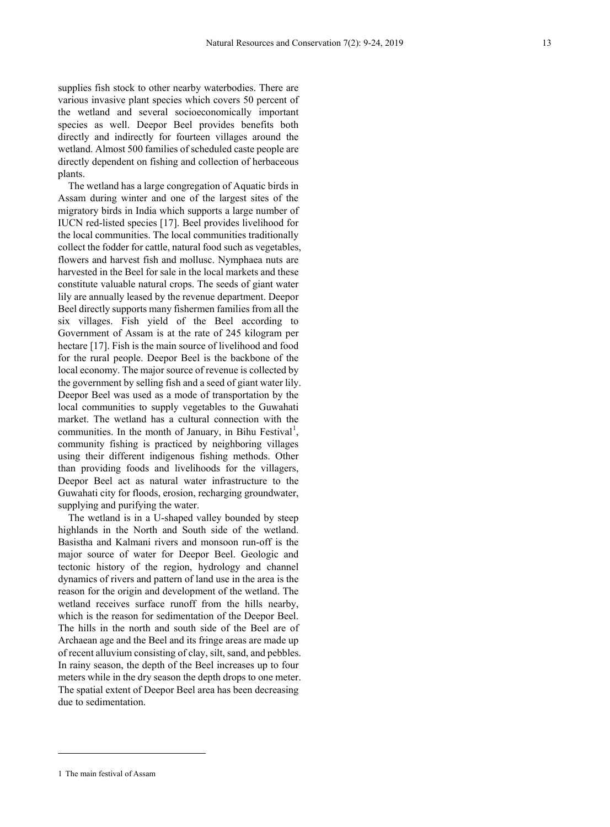supplies fish stock to other nearby waterbodies. There are various invasive plant species which covers 50 percent of the wetland and several socioeconomically important species as well. Deepor Beel provides benefits both directly and indirectly for fourteen villages around the wetland. Almost 500 families of scheduled caste people are directly dependent on fishing and collection of herbaceous plants.

The wetland has a large congregation of Aquatic birds in Assam during winter and one of the largest sites of the migratory birds in India which supports a large number of IUCN red-listed species [17]. Beel provides livelihood for the local communities. The local communities traditionally collect the fodder for cattle, natural food such as vegetables, flowers and harvest fish and mollusc. Nymphaea nuts are harvested in the Beel for sale in the local markets and these constitute valuable natural crops. The seeds of giant water lily are annually leased by the revenue department. Deepor Beel directly supports many fishermen families from all the six villages. Fish yield of the Beel according to Government of Assam is at the rate of 245 kilogram per hectare [17]. Fish is the main source of livelihood and food for the rural people. Deepor Beel is the backbone of the local economy. The major source of revenue is collected by the government by selling fish and a seed of giant water lily. Deepor Beel was used as a mode of transportation by the local communities to supply vegetables to the Guwahati market. The wetland has a cultural connection with the communities. In the month of January, in Bihu Festival<sup>[1](#page-4-0)</sup>, community fishing is practiced by neighboring villages using their different indigenous fishing methods. Other than providing foods and livelihoods for the villagers, Deepor Beel act as natural water infrastructure to the Guwahati city for floods, erosion, recharging groundwater, supplying and purifying the water.

The wetland is in a U-shaped valley bounded by steep highlands in the North and South side of the wetland. Basistha and Kalmani rivers and monsoon run-off is the major source of water for Deepor Beel. Geologic and tectonic history of the region, hydrology and channel dynamics of rivers and pattern of land use in the area is the reason for the origin and development of the wetland. The wetland receives surface runoff from the hills nearby, which is the reason for sedimentation of the Deepor Beel. The hills in the north and south side of the Beel are of Archaean age and the Beel and its fringe areas are made up of recent alluvium consisting of clay, silt, sand, and pebbles. In rainy season, the depth of the Beel increases up to four meters while in the dry season the depth drops to one meter. The spatial extent of Deepor Beel area has been decreasing due to sedimentation.

 $\overline{a}$ 

<span id="page-4-0"></span><sup>1</sup> The main festival of Assam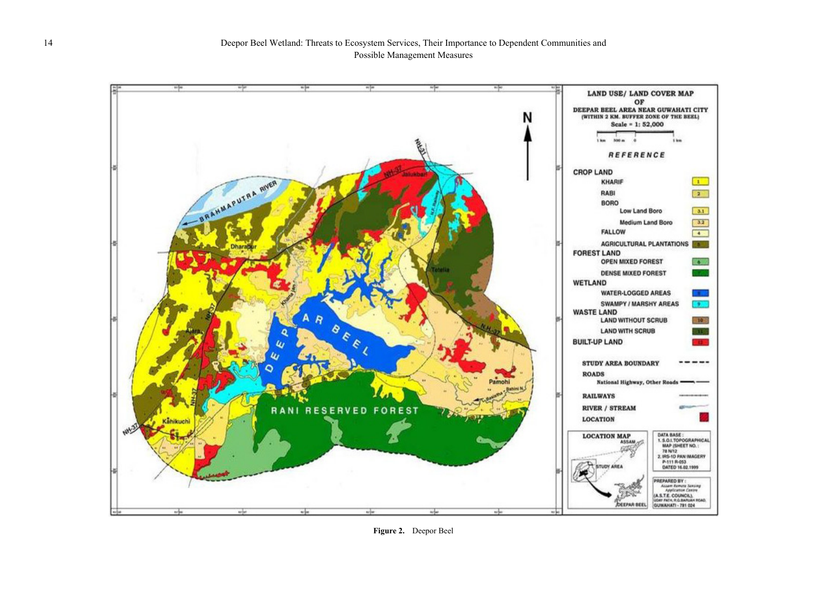

**Figure 2.** Deepor Beel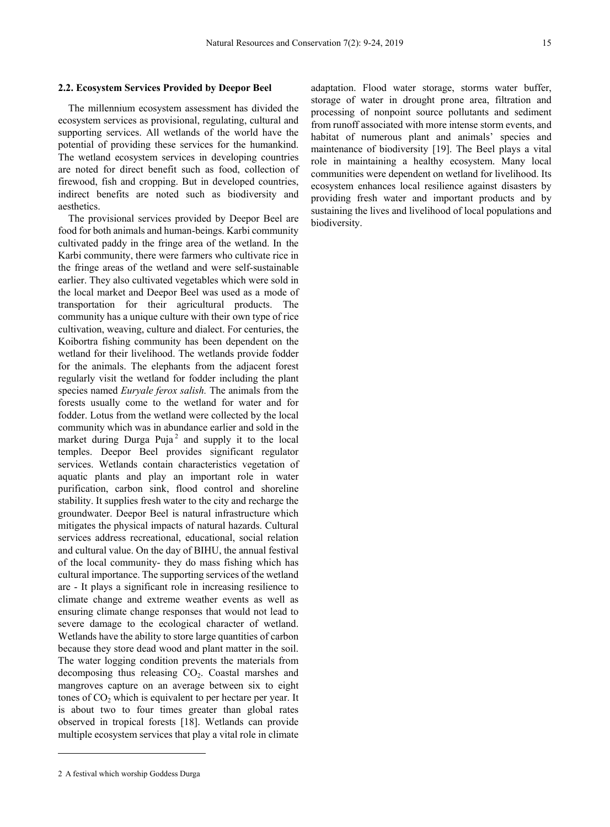#### **2.2. Ecosystem Services Provided by Deepor Beel**

The millennium ecosystem assessment has divided the ecosystem services as provisional, regulating, cultural and supporting services. All wetlands of the world have the potential of providing these services for the humankind. The wetland ecosystem services in developing countries are noted for direct benefit such as food, collection of firewood, fish and cropping. But in developed countries, indirect benefits are noted such as biodiversity and aesthetics.

The provisional services provided by Deepor Beel are food for both animals and human-beings. Karbi community cultivated paddy in the fringe area of the wetland. In the Karbi community, there were farmers who cultivate rice in the fringe areas of the wetland and were self-sustainable earlier. They also cultivated vegetables which were sold in the local market and Deepor Beel was used as a mode of transportation for their agricultural products. The community has a unique culture with their own type of rice cultivation, weaving, culture and dialect. For centuries, the Koibortra fishing community has been dependent on the wetland for their livelihood. The wetlands provide fodder for the animals. The elephants from the adjacent forest regularly visit the wetland for fodder including the plant species named *Euryale ferox salish.* The animals from the forests usually come to the wetland for water and for fodder. Lotus from the wetland were collected by the local community which was in abundance earlier and sold in the market during Durga Puja $^2$  $^2$  and supply it to the local temples. Deepor Beel provides significant regulator services. Wetlands contain characteristics vegetation of aquatic plants and play an important role in water purification, carbon sink, flood control and shoreline stability. It supplies fresh water to the city and recharge the groundwater. Deepor Beel is natural infrastructure which mitigates the physical impacts of natural hazards. Cultural services address recreational, educational, social relation and cultural value. On the day of BIHU, the annual festival of the local community- they do mass fishing which has cultural importance. The supporting services of the wetland are - It plays a significant role in increasing resilience to climate change and extreme weather events as well as ensuring climate change responses that would not lead to severe damage to the ecological character of wetland. Wetlands have the ability to store large quantities of carbon because they store dead wood and plant matter in the soil. The water logging condition prevents the materials from decomposing thus releasing  $CO<sub>2</sub>$ . Coastal marshes and mangroves capture on an average between six to eight tones of  $CO<sub>2</sub>$  which is equivalent to per hectare per year. It is about two to four times greater than global rates observed in tropical forests [18]. Wetlands can provide multiple ecosystem services that play a vital role in climate

adaptation. Flood water storage, storms water buffer, storage of water in drought prone area, filtration and processing of nonpoint source pollutants and sediment from runoff associated with more intense storm events, and habitat of numerous plant and animals' species and maintenance of biodiversity [19]. The Beel plays a vital role in maintaining a healthy ecosystem. Many local communities were dependent on wetland for livelihood. Its ecosystem enhances local resilience against disasters by providing fresh water and important products and by sustaining the lives and livelihood of local populations and biodiversity.

 $\overline{a}$ 

<span id="page-6-0"></span><sup>2</sup> A festival which worship Goddess Durga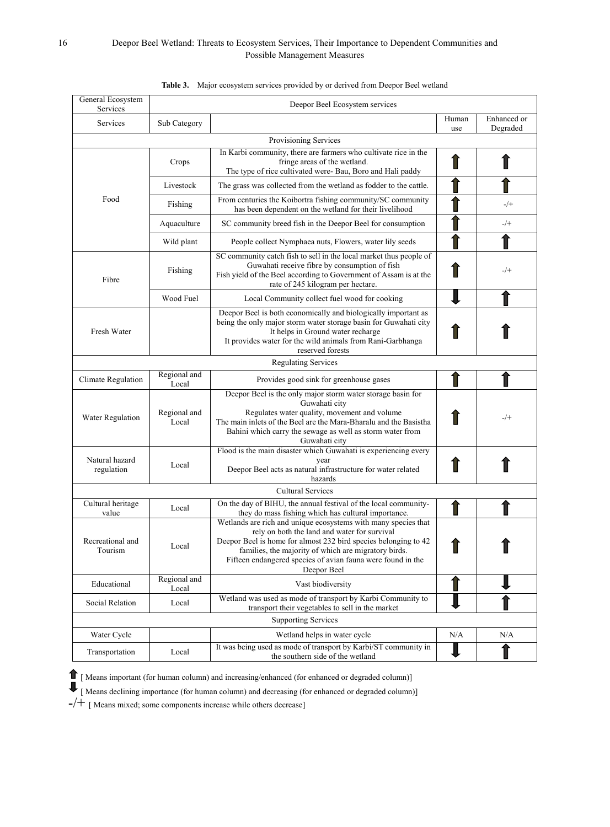### 16 Deepor Beel Wetland: Threats to Ecosystem Services, Their Importance to Dependent Communities and Possible Management Measures

| General Ecosystem<br>Services | Deepor Beel Ecosystem services |                                                                                                                                                                                                                                                                                                                         |     |                         |  |  |  |
|-------------------------------|--------------------------------|-------------------------------------------------------------------------------------------------------------------------------------------------------------------------------------------------------------------------------------------------------------------------------------------------------------------------|-----|-------------------------|--|--|--|
| Services                      | Sub Category                   |                                                                                                                                                                                                                                                                                                                         |     | Enhanced or<br>Degraded |  |  |  |
| use<br>Provisioning Services  |                                |                                                                                                                                                                                                                                                                                                                         |     |                         |  |  |  |
|                               | Crops                          | In Karbi community, there are farmers who cultivate rice in the<br>fringe areas of the wetland.<br>The type of rice cultivated were-Bau, Boro and Hali paddy                                                                                                                                                            |     |                         |  |  |  |
| Food                          | Livestock                      | The grass was collected from the wetland as fodder to the cattle.                                                                                                                                                                                                                                                       |     |                         |  |  |  |
|                               | Fishing                        | From centuries the Koibortra fishing community/SC community<br>has been dependent on the wetland for their livelihood                                                                                                                                                                                                   |     | $-$ /+                  |  |  |  |
|                               | Aquaculture                    | SC community breed fish in the Deepor Beel for consumption                                                                                                                                                                                                                                                              |     | -/+                     |  |  |  |
|                               | Wild plant                     | People collect Nymphaea nuts, Flowers, water lily seeds                                                                                                                                                                                                                                                                 |     |                         |  |  |  |
| Fibre                         | Fishing                        | SC community catch fish to sell in the local market thus people of<br>Guwahati receive fibre by consumption of fish<br>Fish yield of the Beel according to Government of Assam is at the<br>rate of 245 kilogram per hectare.                                                                                           |     | $-/+$                   |  |  |  |
|                               | Wood Fuel                      | Local Community collect fuel wood for cooking                                                                                                                                                                                                                                                                           |     |                         |  |  |  |
| Fresh Water                   |                                | Deepor Beel is both economically and biologically important as<br>being the only major storm water storage basin for Guwahati city<br>It helps in Ground water recharge<br>It provides water for the wild animals from Rani-Garbhanga<br>reserved forests                                                               |     |                         |  |  |  |
|                               |                                | <b>Regulating Services</b>                                                                                                                                                                                                                                                                                              |     |                         |  |  |  |
| Climate Regulation            | Regional and<br>Local          | Provides good sink for greenhouse gases                                                                                                                                                                                                                                                                                 |     |                         |  |  |  |
| Water Regulation              | Regional and<br>Local          | Deepor Beel is the only major storm water storage basin for<br>Guwahati city<br>Regulates water quality, movement and volume<br>The main inlets of the Beel are the Mara-Bharalu and the Basistha<br>Bahini which carry the sewage as well as storm water from<br>Guwahati city                                         |     | $-/+$                   |  |  |  |
| Natural hazard<br>regulation  | Local                          | Flood is the main disaster which Guwahati is experiencing every<br>vear<br>Deepor Beel acts as natural infrastructure for water related<br>hazards                                                                                                                                                                      |     |                         |  |  |  |
|                               |                                | Cultural Services                                                                                                                                                                                                                                                                                                       |     |                         |  |  |  |
| Cultural heritage<br>value    | Local                          | On the day of BIHU, the annual festival of the local community-<br>they do mass fishing which has cultural importance.                                                                                                                                                                                                  |     |                         |  |  |  |
| Recreational and<br>Tourism   | Local                          | Wetlands are rich and unique ecosystems with many species that<br>rely on both the land and water for survival<br>Deepor Beel is home for almost 232 bird species belonging to 42<br>families, the majority of which are migratory birds.<br>Fifteen endangered species of avian fauna were found in the<br>Deepor Beel |     |                         |  |  |  |
| Educational                   | Regional and<br>Local          | Vast biodiversity                                                                                                                                                                                                                                                                                                       |     |                         |  |  |  |
| Social Relation               | Local                          | Wetland was used as mode of transport by Karbi Community to<br>transport their vegetables to sell in the market                                                                                                                                                                                                         |     |                         |  |  |  |
| <b>Supporting Services</b>    |                                |                                                                                                                                                                                                                                                                                                                         |     |                         |  |  |  |
| Water Cycle                   |                                | Wetland helps in water cycle                                                                                                                                                                                                                                                                                            | N/A | N/A                     |  |  |  |
| Transportation                | Local                          | It was being used as mode of transport by Karbi/ST community in<br>the southern side of the wetland                                                                                                                                                                                                                     |     |                         |  |  |  |

#### **Table 3.** Major ecosystem services provided by or derived from Deepor Beel wetland

[ Means important (for human column) and increasing/enhanced (for enhanced or degraded column)]

[ Means declining importance (for human column) and decreasing (for enhanced or degraded column)]

-/+ [ Means mixed; some components increase while others decrease]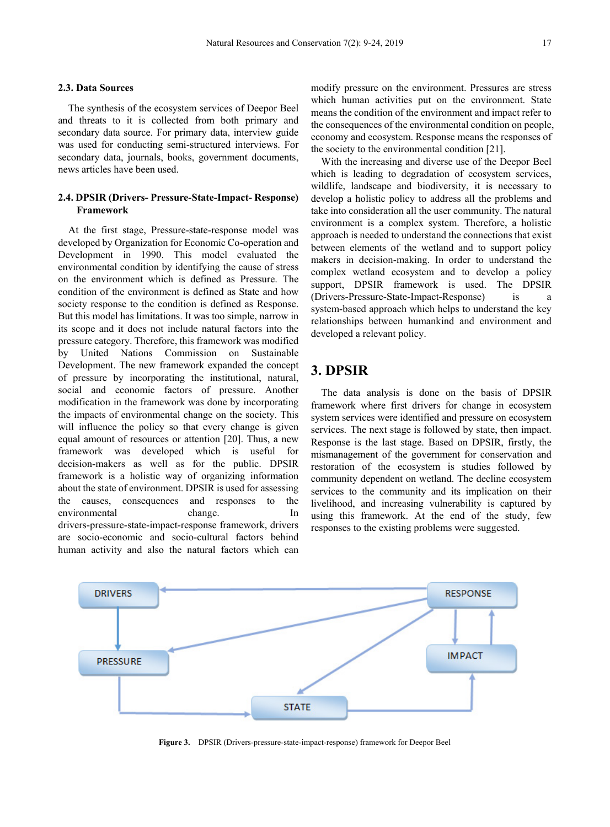#### **2.3. Data Sources**

The synthesis of the ecosystem services of Deepor Beel and threats to it is collected from both primary and secondary data source. For primary data, interview guide was used for conducting semi-structured interviews. For secondary data, journals, books, government documents, news articles have been used.

### **2.4. DPSIR (Drivers- Pressure-State-Impact- Response) Framework**

At the first stage, Pressure-state-response model was developed by Organization for Economic Co-operation and Development in 1990. This model evaluated the environmental condition by identifying the cause of stress on the environment which is defined as Pressure. The condition of the environment is defined as State and how society response to the condition is defined as Response. But this model has limitations. It was too simple, narrow in its scope and it does not include natural factors into the pressure category. Therefore, this framework was modified by United Nations Commission on Sustainable Development. The new framework expanded the concept of pressure by incorporating the institutional, natural, social and economic factors of pressure. Another modification in the framework was done by incorporating the impacts of environmental change on the society. This will influence the policy so that every change is given equal amount of resources or attention [20]. Thus, a new framework was developed which is useful for decision-makers as well as for the public. DPSIR framework is a holistic way of organizing information about the state of environment. DPSIR is used for assessing the causes, consequences and responses to the environmental change. In drivers-pressure-state-impact-response framework, drivers are socio-economic and socio-cultural factors behind human activity and also the natural factors which can

modify pressure on the environment. Pressures are stress which human activities put on the environment. State means the condition of the environment and impact refer to the consequences of the environmental condition on people, economy and ecosystem. Response means the responses of the society to the environmental condition [21].

With the increasing and diverse use of the Deepor Beel which is leading to degradation of ecosystem services, wildlife, landscape and biodiversity, it is necessary to develop a holistic policy to address all the problems and take into consideration all the user community. The natural environment is a complex system. Therefore, a holistic approach is needed to understand the connections that exist between elements of the wetland and to support policy makers in decision-making. In order to understand the complex wetland ecosystem and to develop a policy support, DPSIR framework is used. The DPSIR (Drivers-Pressure-State-Impact-Response) is system-based approach which helps to understand the key relationships between humankind and environment and developed a relevant policy.

# **3. DPSIR**

The data analysis is done on the basis of DPSIR framework where first drivers for change in ecosystem system services were identified and pressure on ecosystem services. The next stage is followed by state, then impact. Response is the last stage. Based on DPSIR, firstly, the mismanagement of the government for conservation and restoration of the ecosystem is studies followed by community dependent on wetland. The decline ecosystem services to the community and its implication on their livelihood, and increasing vulnerability is captured by using this framework. At the end of the study, few responses to the existing problems were suggested.



**Figure 3.** DPSIR (Drivers-pressure-state-impact-response) framework for Deepor Beel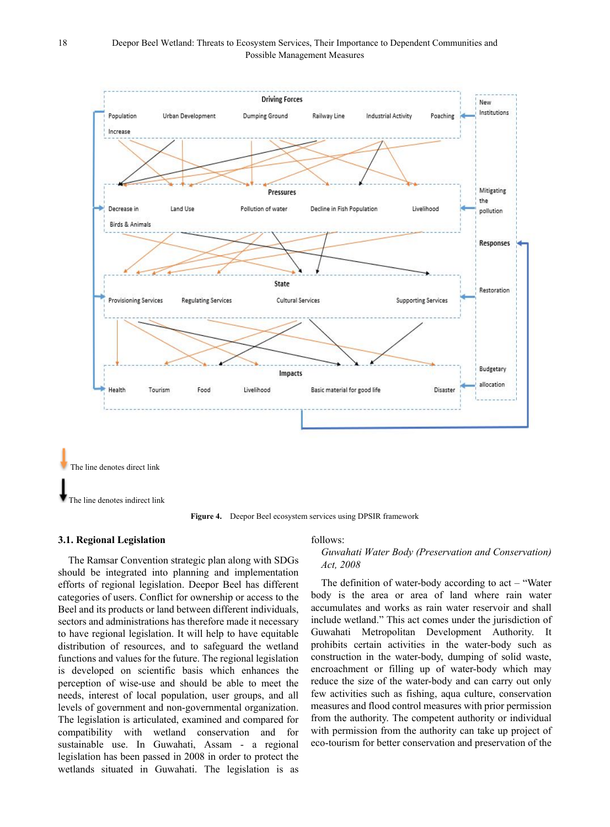

**Figure 4.** Deepor Beel ecosystem services using DPSIR framework

#### **3.1. Regional Legislation**

The Ramsar Convention strategic plan along with SDGs should be integrated into planning and implementation efforts of regional legislation. Deepor Beel has different categories of users. Conflict for ownership or access to the Beel and its products or land between different individuals, sectors and administrations has therefore made it necessary to have regional legislation. It will help to have equitable distribution of resources, and to safeguard the wetland functions and values for the future. The regional legislation is developed on scientific basis which enhances the perception of wise-use and should be able to meet the needs, interest of local population, user groups, and all levels of government and non-governmental organization. The legislation is articulated, examined and compared for compatibility with wetland conservation and for sustainable use. In Guwahati, Assam - a regional legislation has been passed in 2008 in order to protect the wetlands situated in Guwahati. The legislation is as

#### follows:

#### *Guwahati Water Body (Preservation and Conservation) Act, 2008*

The definition of water-body according to  $act - "Water"$ body is the area or area of land where rain water accumulates and works as rain water reservoir and shall include wetland." This act comes under the jurisdiction of Guwahati Metropolitan Development Authority. It prohibits certain activities in the water-body such as construction in the water-body, dumping of solid waste, encroachment or filling up of water-body which may reduce the size of the water-body and can carry out only few activities such as fishing, aqua culture, conservation measures and flood control measures with prior permission from the authority. The competent authority or individual with permission from the authority can take up project of eco-tourism for better conservation and preservation of the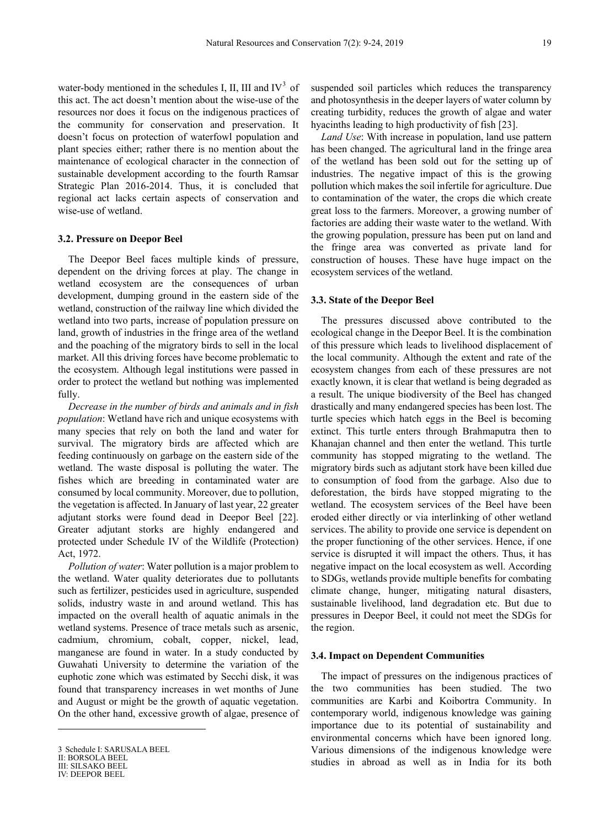water-body mentioned in the schedules I, II, III and  $IV<sup>3</sup>$  $IV<sup>3</sup>$  $IV<sup>3</sup>$  of this act. The act doesn't mention about the wise-use of the resources nor does it focus on the indigenous practices of the community for conservation and preservation. It doesn't focus on protection of waterfowl population and plant species either; rather there is no mention about the maintenance of ecological character in the connection of sustainable development according to the fourth Ramsar Strategic Plan 2016-2014. Thus, it is concluded that regional act lacks certain aspects of conservation and wise-use of wetland.

#### **3.2. Pressure on Deepor Beel**

The Deepor Beel faces multiple kinds of pressure, dependent on the driving forces at play. The change in wetland ecosystem are the consequences of urban development, dumping ground in the eastern side of the wetland, construction of the railway line which divided the wetland into two parts, increase of population pressure on land, growth of industries in the fringe area of the wetland and the poaching of the migratory birds to sell in the local market. All this driving forces have become problematic to the ecosystem. Although legal institutions were passed in order to protect the wetland but nothing was implemented fully.

*Decrease in the number of birds and animals and in fish population*: Wetland have rich and unique ecosystems with many species that rely on both the land and water for survival. The migratory birds are affected which are feeding continuously on garbage on the eastern side of the wetland. The waste disposal is polluting the water. The fishes which are breeding in contaminated water are consumed by local community. Moreover, due to pollution, the vegetation is affected. In January of last year, 22 greater adjutant storks were found dead in Deepor Beel [22]. Greater adjutant storks are highly endangered and protected under Schedule IV of the Wildlife (Protection) Act, 1972.

*Pollution of water*: Water pollution is a major problem to the wetland. Water quality deteriorates due to pollutants such as fertilizer, pesticides used in agriculture, suspended solids, industry waste in and around wetland. This has impacted on the overall health of aquatic animals in the wetland systems. Presence of trace metals such as arsenic, cadmium, chromium, cobalt, copper, nickel, lead, manganese are found in water. In a study conducted by Guwahati University to determine the variation of the euphotic zone which was estimated by Secchi disk, it was found that transparency increases in wet months of June and August or might be the growth of aquatic vegetation. On the other hand, excessive growth of algae, presence of

 $\overline{a}$ 

suspended soil particles which reduces the transparency and photosynthesis in the deeper layers of water column by creating turbidity, reduces the growth of algae and water hyacinths leading to high productivity of fish [23].

*Land Use*: With increase in population, land use pattern has been changed. The agricultural land in the fringe area of the wetland has been sold out for the setting up of industries. The negative impact of this is the growing pollution which makes the soil infertile for agriculture. Due to contamination of the water, the crops die which create great loss to the farmers. Moreover, a growing number of factories are adding their waste water to the wetland. With the growing population, pressure has been put on land and the fringe area was converted as private land for construction of houses. These have huge impact on the ecosystem services of the wetland.

#### **3.3. State of the Deepor Beel**

The pressures discussed above contributed to the ecological change in the Deepor Beel. It is the combination of this pressure which leads to livelihood displacement of the local community. Although the extent and rate of the ecosystem changes from each of these pressures are not exactly known, it is clear that wetland is being degraded as a result. The unique biodiversity of the Beel has changed drastically and many endangered species has been lost. The turtle species which hatch eggs in the Beel is becoming extinct. This turtle enters through Brahmaputra then to Khanajan channel and then enter the wetland. This turtle community has stopped migrating to the wetland. The migratory birds such as adjutant stork have been killed due to consumption of food from the garbage. Also due to deforestation, the birds have stopped migrating to the wetland. The ecosystem services of the Beel have been eroded either directly or via interlinking of other wetland services. The ability to provide one service is dependent on the proper functioning of the other services. Hence, if one service is disrupted it will impact the others. Thus, it has negative impact on the local ecosystem as well. According to SDGs, wetlands provide multiple benefits for combating climate change, hunger, mitigating natural disasters, sustainable livelihood, land degradation etc. But due to pressures in Deepor Beel, it could not meet the SDGs for the region.

#### **3.4. Impact on Dependent Communities**

The impact of pressures on the indigenous practices of the two communities has been studied. The two communities are Karbi and Koibortra Community. In contemporary world, indigenous knowledge was gaining importance due to its potential of sustainability and environmental concerns which have been ignored long. Various dimensions of the indigenous knowledge were studies in abroad as well as in India for its both

<span id="page-10-0"></span><sup>3</sup> Schedule I: SARUSALA BEEL

II: BORSOLA BEEL

III: SILSAKO BEEL

IV: DEEPOR BEEL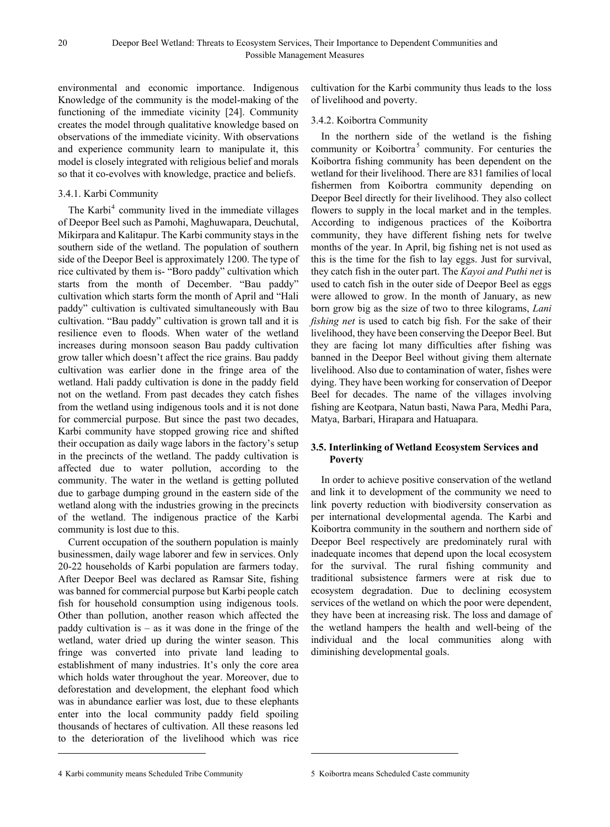environmental and economic importance. Indigenous Knowledge of the community is the model-making of the functioning of the immediate vicinity [24]. Community creates the model through qualitative knowledge based on observations of the immediate vicinity. With observations and experience community learn to manipulate it, this model is closely integrated with religious belief and morals so that it co-evolves with knowledge, practice and beliefs.

### 3.4.1. Karbi Community

The Karbi<sup>[4](#page-11-0)</sup> community lived in the immediate villages of Deepor Beel such as Pamohi, Maghuwapara, Deuchutal, Mikirpara and Kalitapur. The Karbi community stays in the southern side of the wetland. The population of southern side of the Deepor Beel is approximately 1200. The type of rice cultivated by them is- "Boro paddy" cultivation which starts from the month of December. "Bau paddy" cultivation which starts form the month of April and "Hali paddy" cultivation is cultivated simultaneously with Bau cultivation. "Bau paddy" cultivation is grown tall and it is resilience even to floods. When water of the wetland increases during monsoon season Bau paddy cultivation grow taller which doesn't affect the rice grains. Bau paddy cultivation was earlier done in the fringe area of the wetland. Hali paddy cultivation is done in the paddy field not on the wetland. From past decades they catch fishes from the wetland using indigenous tools and it is not done for commercial purpose. But since the past two decades, Karbi community have stopped growing rice and shifted their occupation as daily wage labors in the factory's setup in the precincts of the wetland. The paddy cultivation is affected due to water pollution, according to the community. The water in the wetland is getting polluted due to garbage dumping ground in the eastern side of the wetland along with the industries growing in the precincts of the wetland. The indigenous practice of the Karbi community is lost due to this.

Current occupation of the southern population is mainly businessmen, daily wage laborer and few in services. Only 20-22 households of Karbi population are farmers today. After Deepor Beel was declared as Ramsar Site, fishing was banned for commercial purpose but Karbi people catch fish for household consumption using indigenous tools. Other than pollution, another reason which affected the paddy cultivation is  $-$  as it was done in the fringe of the wetland, water dried up during the winter season. This fringe was converted into private land leading to establishment of many industries. It's only the core area which holds water throughout the year. Moreover, due to deforestation and development, the elephant food which was in abundance earlier was lost, due to these elephants enter into the local community paddy field spoiling thousands of hectares of cultivation. All these reasons led to the deterioration of the livelihood which was rice cultivation for the Karbi community thus leads to the loss of livelihood and poverty.

### 3.4.2. Koibortra Community

In the northern side of the wetland is the fishing community or Koibortra<sup>[5](#page-11-0)</sup> community. For centuries the Koibortra fishing community has been dependent on the wetland for their livelihood. There are 831 families of local fishermen from Koibortra community depending on Deepor Beel directly for their livelihood. They also collect flowers to supply in the local market and in the temples. According to indigenous practices of the Koibortra community, they have different fishing nets for twelve months of the year. In April, big fishing net is not used as this is the time for the fish to lay eggs. Just for survival, they catch fish in the outer part. The *Kayoi and Puthi net* is used to catch fish in the outer side of Deepor Beel as eggs were allowed to grow. In the month of January, as new born grow big as the size of two to three kilograms, *Lani fishing net* is used to catch big fish. For the sake of their livelihood, they have been conserving the Deepor Beel. But they are facing lot many difficulties after fishing was banned in the Deepor Beel without giving them alternate livelihood. Also due to contamination of water, fishes were dying. They have been working for conservation of Deepor Beel for decades. The name of the villages involving fishing are Keotpara, Natun basti, Nawa Para, Medhi Para, Matya, Barbari, Hirapara and Hatuapara.

### **3.5. Interlinking of Wetland Ecosystem Services and Poverty**

In order to achieve positive conservation of the wetland and link it to development of the community we need to link poverty reduction with biodiversity conservation as per international developmental agenda. The Karbi and Koibortra community in the southern and northern side of Deepor Beel respectively are predominately rural with inadequate incomes that depend upon the local ecosystem for the survival. The rural fishing community and traditional subsistence farmers were at risk due to ecosystem degradation. Due to declining ecosystem services of the wetland on which the poor were dependent, they have been at increasing risk. The loss and damage of the wetland hampers the health and well-being of the individual and the local communities along with diminishing developmental goals.

 $\overline{a}$ 

<span id="page-11-0"></span><sup>4</sup> Karbi community means Scheduled Tribe Community

<sup>5</sup> Koibortra means Scheduled Caste community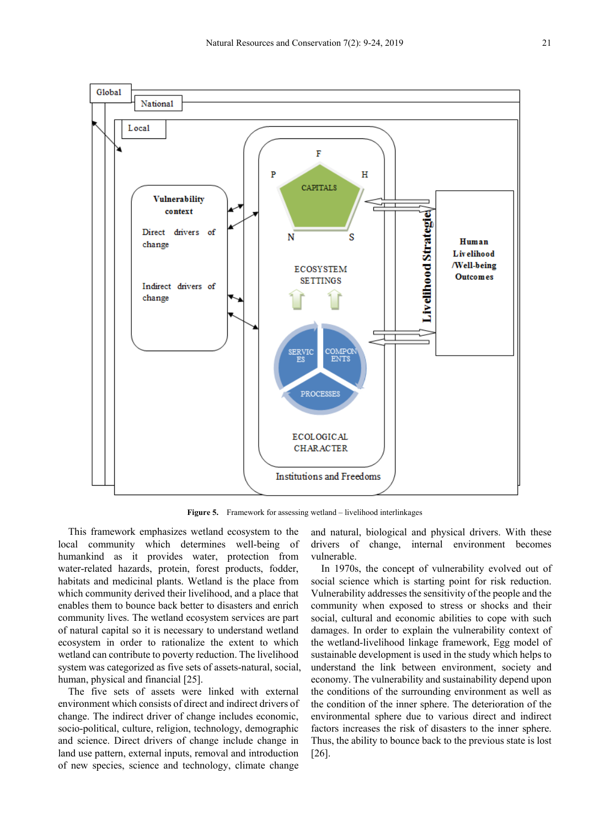

**Figure 5.** Framework for assessing wetland – livelihood interlinkages

This framework emphasizes wetland ecosystem to the local community which determines well-being of humankind as it provides water, protection from water-related hazards, protein, forest products, fodder, habitats and medicinal plants. Wetland is the place from which community derived their livelihood, and a place that enables them to bounce back better to disasters and enrich community lives. The wetland ecosystem services are part of natural capital so it is necessary to understand wetland ecosystem in order to rationalize the extent to which wetland can contribute to poverty reduction. The livelihood system was categorized as five sets of assets-natural, social, human, physical and financial [25].

The five sets of assets were linked with external environment which consists of direct and indirect drivers of change. The indirect driver of change includes economic, socio-political, culture, religion, technology, demographic and science. Direct drivers of change include change in land use pattern, external inputs, removal and introduction of new species, science and technology, climate change

and natural, biological and physical drivers. With these drivers of change, internal environment becomes vulnerable.

In 1970s, the concept of vulnerability evolved out of social science which is starting point for risk reduction. Vulnerability addresses the sensitivity of the people and the community when exposed to stress or shocks and their social, cultural and economic abilities to cope with such damages. In order to explain the vulnerability context of the wetland-livelihood linkage framework, Egg model of sustainable development is used in the study which helps to understand the link between environment, society and economy. The vulnerability and sustainability depend upon the conditions of the surrounding environment as well as the condition of the inner sphere. The deterioration of the environmental sphere due to various direct and indirect factors increases the risk of disasters to the inner sphere. Thus, the ability to bounce back to the previous state is lost [26].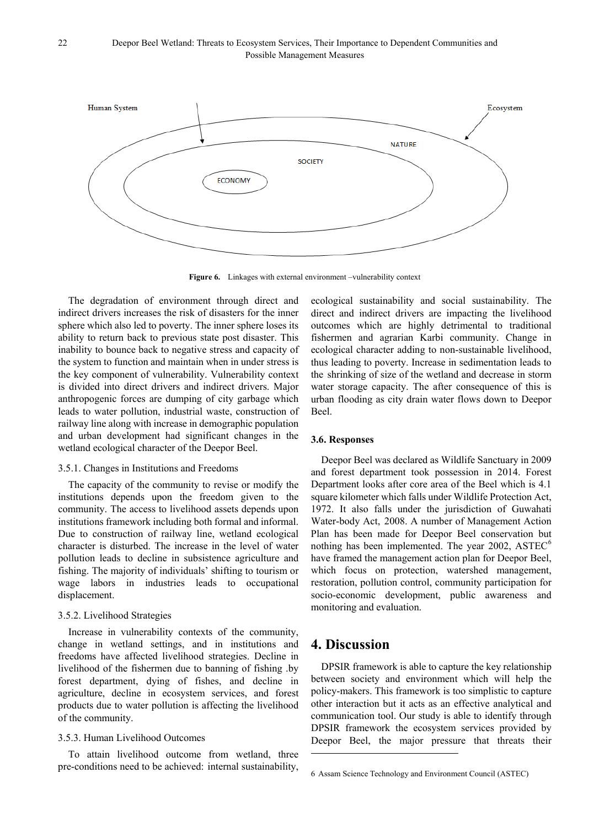

**Figure 6.** Linkages with external environment –vulnerability context

The degradation of environment through direct and indirect drivers increases the risk of disasters for the inner sphere which also led to poverty. The inner sphere loses its ability to return back to previous state post disaster. This inability to bounce back to negative stress and capacity of the system to function and maintain when in under stress is the key component of vulnerability. Vulnerability context is divided into direct drivers and indirect drivers. Major anthropogenic forces are dumping of city garbage which leads to water pollution, industrial waste, construction of railway line along with increase in demographic population and urban development had significant changes in the wetland ecological character of the Deepor Beel.

#### 3.5.1. Changes in Institutions and Freedoms

The capacity of the community to revise or modify the institutions depends upon the freedom given to the community. The access to livelihood assets depends upon institutions framework including both formal and informal. Due to construction of railway line, wetland ecological character is disturbed. The increase in the level of water pollution leads to decline in subsistence agriculture and fishing. The majority of individuals' shifting to tourism or wage labors in industries leads to occupational displacement.

#### 3.5.2. Livelihood Strategies

Increase in vulnerability contexts of the community, change in wetland settings, and in institutions and freedoms have affected livelihood strategies. Decline in livelihood of the fishermen due to banning of fishing .by forest department, dying of fishes, and decline in agriculture, decline in ecosystem services, and forest products due to water pollution is affecting the livelihood of the community.

#### 3.5.3. Human Livelihood Outcomes

<span id="page-13-0"></span>To attain livelihood outcome from wetland, three pre-conditions need to be achieved: internal sustainability,

ecological sustainability and social sustainability. The direct and indirect drivers are impacting the livelihood outcomes which are highly detrimental to traditional fishermen and agrarian Karbi community. Change in ecological character adding to non-sustainable livelihood, thus leading to poverty. Increase in sedimentation leads to the shrinking of size of the wetland and decrease in storm water storage capacity. The after consequence of this is urban flooding as city drain water flows down to Deepor Beel.

#### **3.6. Responses**

Deepor Beel was declared as Wildlife Sanctuary in 2009 and forest department took possession in 2014. Forest Department looks after core area of the Beel which is 4.1 square kilometer which falls under Wildlife Protection Act, 1972. It also falls under the jurisdiction of Guwahati Water-body Act, 2008. A number of Management Action Plan has been made for Deepor Beel conservation but nothing has been implemented. The year  $2002$ ,  $\triangle$ STEC<sup>[6](#page-13-0)</sup> have framed the management action plan for Deepor Beel, which focus on protection, watershed management, restoration, pollution control, community participation for socio-economic development, public awareness and monitoring and evaluation.

# **4. Discussion**

1

DPSIR framework is able to capture the key relationship between society and environment which will help the policy-makers. This framework is too simplistic to capture other interaction but it acts as an effective analytical and communication tool. Our study is able to identify through DPSIR framework the ecosystem services provided by Deepor Beel, the major pressure that threats their

<sup>6</sup> Assam Science Technology and Environment Council (ASTEC)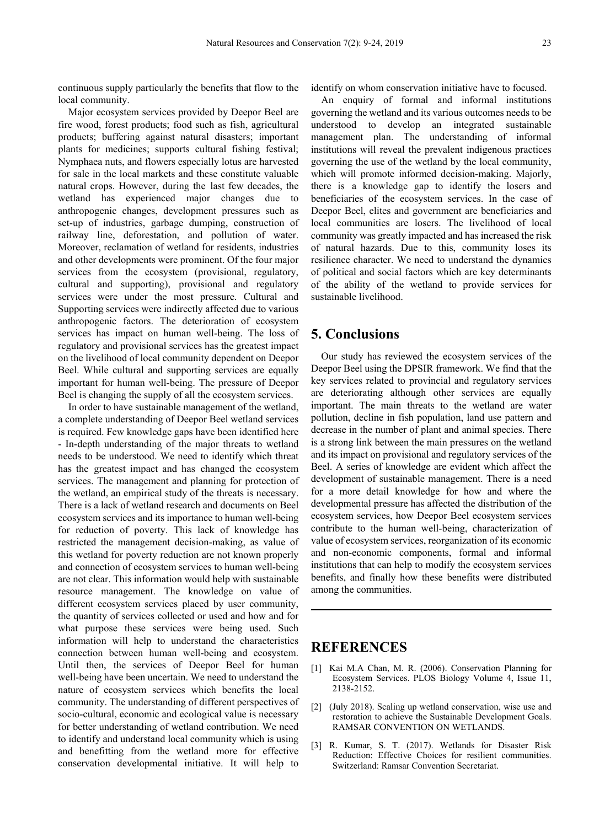continuous supply particularly the benefits that flow to the local community.

Major ecosystem services provided by Deepor Beel are fire wood, forest products; food such as fish, agricultural products; buffering against natural disasters; important plants for medicines; supports cultural fishing festival; Nymphaea nuts, and flowers especially lotus are harvested for sale in the local markets and these constitute valuable natural crops. However, during the last few decades, the wetland has experienced major changes due to anthropogenic changes, development pressures such as set-up of industries, garbage dumping, construction of railway line, deforestation, and pollution of water. Moreover, reclamation of wetland for residents, industries and other developments were prominent. Of the four major services from the ecosystem (provisional, regulatory, cultural and supporting), provisional and regulatory services were under the most pressure. Cultural and Supporting services were indirectly affected due to various anthropogenic factors. The deterioration of ecosystem services has impact on human well-being. The loss of regulatory and provisional services has the greatest impact on the livelihood of local community dependent on Deepor Beel. While cultural and supporting services are equally important for human well-being. The pressure of Deepor Beel is changing the supply of all the ecosystem services.

In order to have sustainable management of the wetland, a complete understanding of Deepor Beel wetland services is required. Few knowledge gaps have been identified here - In-depth understanding of the major threats to wetland needs to be understood. We need to identify which threat has the greatest impact and has changed the ecosystem services. The management and planning for protection of the wetland, an empirical study of the threats is necessary. There is a lack of wetland research and documents on Beel ecosystem services and its importance to human well-being for reduction of poverty. This lack of knowledge has restricted the management decision-making, as value of this wetland for poverty reduction are not known properly and connection of ecosystem services to human well-being are not clear. This information would help with sustainable resource management. The knowledge on value of different ecosystem services placed by user community, the quantity of services collected or used and how and for what purpose these services were being used. Such information will help to understand the characteristics connection between human well-being and ecosystem. Until then, the services of Deepor Beel for human well-being have been uncertain. We need to understand the nature of ecosystem services which benefits the local community. The understanding of different perspectives of socio-cultural, economic and ecological value is necessary for better understanding of wetland contribution. We need to identify and understand local community which is using and benefitting from the wetland more for effective conservation developmental initiative. It will help to

identify on whom conservation initiative have to focused.

An enquiry of formal and informal institutions governing the wetland and its various outcomes needs to be understood to develop an integrated sustainable management plan. The understanding of informal institutions will reveal the prevalent indigenous practices governing the use of the wetland by the local community, which will promote informed decision-making. Majorly, there is a knowledge gap to identify the losers and beneficiaries of the ecosystem services. In the case of Deepor Beel, elites and government are beneficiaries and local communities are losers. The livelihood of local community was greatly impacted and has increased the risk of natural hazards. Due to this, community loses its resilience character. We need to understand the dynamics of political and social factors which are key determinants of the ability of the wetland to provide services for sustainable livelihood.

# **5. Conclusions**

Our study has reviewed the ecosystem services of the Deepor Beel using the DPSIR framework. We find that the key services related to provincial and regulatory services are deteriorating although other services are equally important. The main threats to the wetland are water pollution, decline in fish population, land use pattern and decrease in the number of plant and animal species. There is a strong link between the main pressures on the wetland and its impact on provisional and regulatory services of the Beel. A series of knowledge are evident which affect the development of sustainable management. There is a need for a more detail knowledge for how and where the developmental pressure has affected the distribution of the ecosystem services, how Deepor Beel ecosystem services contribute to the human well-being, characterization of value of ecosystem services, reorganization of its economic and non-economic components, formal and informal institutions that can help to modify the ecosystem services benefits, and finally how these benefits were distributed among the communities.

# **REFERENCES**

- [1] Kai M.A Chan, M. R. (2006). Conservation Planning for Ecosystem Services. PLOS Biology Volume 4, Issue 11, 2138-2152.
- [2] (July 2018). Scaling up wetland conservation, wise use and restoration to achieve the Sustainable Development Goals. RAMSAR CONVENTION ON WETLANDS.
- [3] R. Kumar, S. T. (2017). Wetlands for Disaster Risk Reduction: Effective Choices for resilient communities. Switzerland: Ramsar Convention Secretariat.